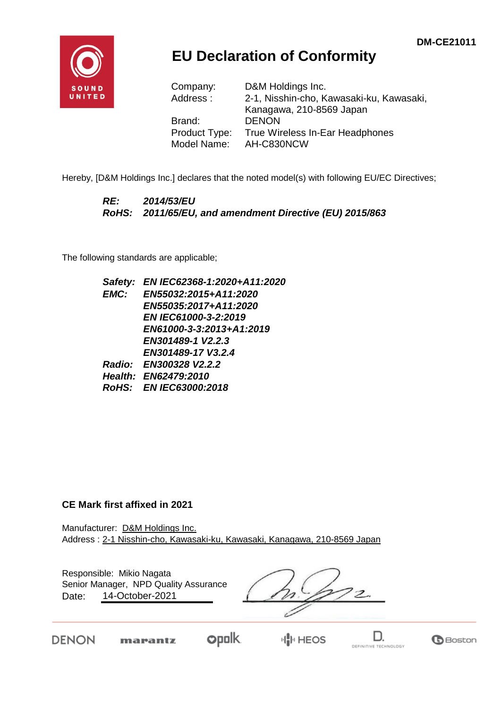

## **EU Declaration of Conformity**

| Company:      | D&M Holdings Inc.                        |
|---------------|------------------------------------------|
| Address:      | 2-1, Nisshin-cho, Kawasaki-ku, Kawasaki, |
|               | Kanagawa, 210-8569 Japan                 |
| Brand:        | <b>DENON</b>                             |
| Product Type: | True Wireless In-Ear Headphones          |
| Model Name:   | AH-C830NCW                               |

Hereby, [D&M Holdings Inc.] declares that the noted model(s) with following EU/EC Directives;

#### *RE: 2014/53/EU RoHS: 2011/65/EU, and amendment Directive (EU) 2015/863*

The following standards are applicable;

*Safety: EN IEC62368-1:2020+A11:2020 EMC: EN55032:2015+A11:2020 EN55035:2017+A11:2020 EN IEC61000-3-2:2019 EN61000-3-3:2013+A1:2019 EN301489-1 V2.2.3 EN301489-17 V3.2.4 Radio: EN300328 V2.2.2 Health: EN62479:2010 RoHS: EN IEC63000:2018*

#### **CE Mark first affixed in 2021**

marantz

DENON

Manufacturer: D&M Holdings Inc. Address : 2-1 Nisshin-cho, Kawasaki-ku, Kawasaki, Kanagawa, 210-8569 Japan

Responsible: Mikio Nagata Date: 14-October-2021 Senior Manager, NPD Quality Assurance

**opolk** 

D.

DEFINITIVE TECHNOLOGY

**B**Boston

**HIM HEOS**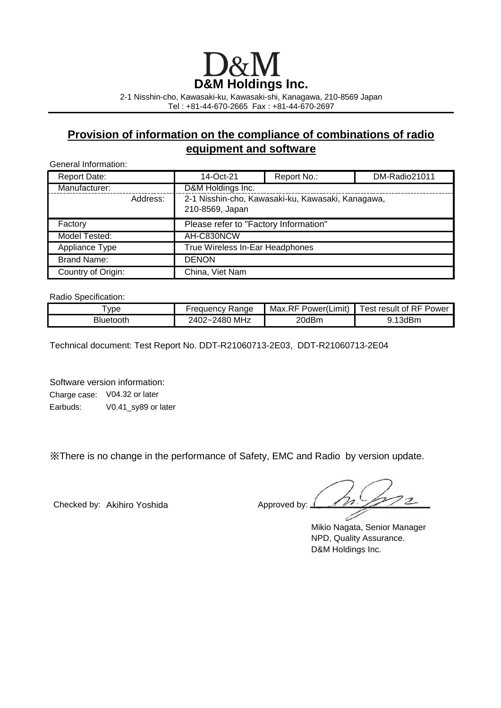# **D&M Holdings Inc.**

2-1 Nisshin-cho, Kawasaki-ku, Kawasaki-shi, Kanagawa, 210-8569 Japan Tel : +81-44-670-2665 Fax : +81-44-670-2697

### **Provision of information on the compliance of combinations of radio equipment and software**

General Information:

| <b>Report Date:</b> |          | 14-Oct-21                                                            | Report No.: | DM-Radio21011 |
|---------------------|----------|----------------------------------------------------------------------|-------------|---------------|
| Manufacturer:       |          | D&M Holdings Inc.                                                    |             |               |
|                     | Address: | 2-1 Nisshin-cho, Kawasaki-ku, Kawasaki, Kanagawa,<br>210-8569, Japan |             |               |
| Factory             |          | Please refer to "Factory Information"                                |             |               |
| Model Tested:       |          | AH-C830NCW                                                           |             |               |
| Appliance Type      |          | True Wireless In-Ear Headphones                                      |             |               |
| <b>Brand Name:</b>  |          | <b>DENON</b>                                                         |             |               |
| Country of Origin:  |          | China, Viet Nam                                                      |             |               |

Radio Specification:

| vpe       | Range            | Max.RF       | <b>RF Power</b> |
|-----------|------------------|--------------|-----------------|
|           | -reauencv        | Power(Limit) | ، est result of |
| Bluetooth | MHz<br>2402~2480 | 20dBm        | .13dBm          |

Technical document: Test Report No. DDT-R21060713-2E03, DDT-R21060713-2E04

Software version information: Charge case: V04.32 or later Earbuds: V0.41\_sy89 or later

※There is no change in the performance of Safety, EMC and Radio by version update.

Checked by: Akihiro Yoshida Approved by:  $\perp$ 

 $\overline{\mathcal{P}}$ 

Mikio Nagata, Senior Manager NPD, Quality Assurance. D&M Holdings Inc.